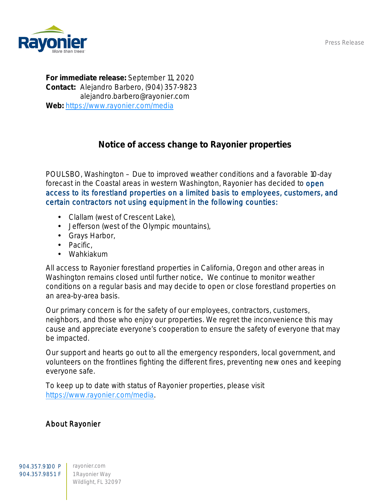Press Release



For immediate release: September 11, 2020 Contact: Alejandro Barbero, (904) 357-9823 alejandro.barbero@rayonier.com Web: <https://www.rayonier.com/media>

## Notice of access change to Rayonier properties

POULSBO, Washington – Due to improved weather conditions and a favorable 10-day forecast in the Coastal areas in western Washington, Rayonier has decided to open access to its forestland properties on a limited basis to employees, customers, and certain contractors not using equipment in the following counties:

- Clallam (west of Crescent Lake),
- Jefferson (west of the Olympic mountains),  $\mathbf{r}$
- Grays Harbor,
- . Pacific,
- Wahkiakum

All access to Rayonier forestland properties in California, Oregon and other areas in Washington remains closed until further notice. We continue to monitor weather conditions on a regular basis and may decide to open or close forestland properties on an area-by-area basis.

Our primary concern is for the safety of our employees, contractors, customers, neighbors, and those who enjoy our properties. We regret the inconvenience this may cause and appreciate everyone's cooperation to ensure the safety of everyone that may be impacted.

Our support and hearts go out to all the emergency responders, local government, and volunteers on the frontlines fighting the different fires, preventing new ones and keeping everyone safe.

To keep up to date with status of Rayonier properties, please visit [https://www.rayonier.com/media.](https://www.rayonier.com/media)

## About Rayonier